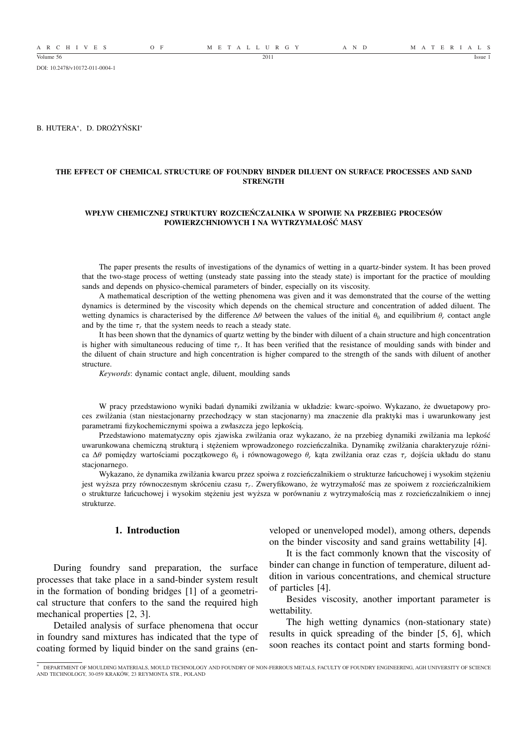A R C H I V E S O F M E T A L L U R G Y A N D M A T E R I A L S

DOI: 10.2478/v10172-011-0004-1

B. HUTERA<sup>∗</sup> , D. DROŻYŃSKI<sup>∗</sup>

# **THE EFFECT OF CHEMICAL STRUCTURE OF FOUNDRY BINDER DILUENT ON SURFACE PROCESSES AND SAND STRENGTH**

#### **WPŁYW CHEMICZNEJ STRUKTURY ROZCIEŃCZALNIKA W SPOIWIE NA PRZEBIEG PROCESÓW POWIERZCHNIOWYCH I NA WYTRZYMAŁOŚĆ MASY**

The paper presents the results of investigations of the dynamics of wetting in a quartz-binder system. It has been proved that the two-stage process of wetting (unsteady state passing into the steady state) is important for the practice of moulding sands and depends on physico-chemical parameters of binder, especially on its viscosity.

A mathematical description of the wetting phenomena was given and it was demonstrated that the course of the wetting dynamics is determined by the viscosity which depends on the chemical structure and concentration of added diluent. The wetting dynamics is characterised by the difference  $\Delta\theta$  between the values of the initial  $\theta_0$  and equilibrium  $\theta_r$  contact angle and by the time  $\tau_r$  that the system needs to reach a steady state.

It has been shown that the dynamics of quartz wetting by the binder with diluent of a chain structure and high concentration is higher with simultaneous reducing of time  $\tau_r$ . It has been verified that the resistance of moulding sands with binder and the diluent of chain structure and high concentration is higher compared to the strength of the sands with diluent of another structure.

*Keywords*: dynamic contact angle, diluent, moulding sands

W pracy przedstawiono wyniki badań dynamiki zwilżania w układzie: kwarc-spoiwo. Wykazano, że dwuetapowy proces zwilżania (stan niestacjonarny przechodzący w stan stacjonarny) ma znaczenie dla praktyki mas i uwarunkowany jest parametrami fizykochemicznymi spoiwa a zwłaszcza jego lepkością.

Przedstawiono matematyczny opis zjawiska zwilżania oraz wykazano, że na przebieg dynamiki zwilżania ma lepkość uwarunkowana chemiczną strukturą i stężeniem wprowadzonego rozcieńczalnika. Dynamikę zwilżania charakteryzuje różnica ∆θ pomiędzy wartościami początkowego θ<sup>0</sup> i równowagowego θ*<sup>r</sup>* kąta zwilżania oraz czas τ*<sup>r</sup>* dojścia układu do stanu stacionarnego.

Wykazano, że dynamika zwilżania kwarcu przez spoiwa z rozcieńczalnikiem o strukturze łańcuchowej i wysokim stężeniu jest wyższa przy równoczesnym skróceniu czasu τ*<sup>r</sup>* . Zweryfikowano, że wytrzymałość mas ze spoiwem z rozcieńczalnikiem o strukturze łańcuchowej i wysokim stężeniu jest wyższa w porównaniu z wytrzymałością mas z rozcieńczalnikiem o innej strukturze.

# **1. Introduction**

During foundry sand preparation, the surface processes that take place in a sand-binder system result in the formation of bonding bridges [1] of a geometrical structure that confers to the sand the required high mechanical properties [2, 3].

Detailed analysis of surface phenomena that occur in foundry sand mixtures has indicated that the type of coating formed by liquid binder on the sand grains (enveloped or unenveloped model), among others, depends on the binder viscosity and sand grains wettability [4].

It is the fact commonly known that the viscosity of binder can change in function of temperature, diluent addition in various concentrations, and chemical structure of particles [4].

Besides viscosity, another important parameter is wettability.

The high wetting dynamics (non-stationary state) results in quick spreading of the binder [5, 6], which soon reaches its contact point and starts forming bond-

<sup>∗</sup> DEPARTMENT OF MOULDING MATERIALS, MOULD TECHNOLOGY AND FOUNDRY OF NON-FERROUS METALS, FACULTY OF FOUNDRY ENGINEERING, AGH UNIVERSITY OF SCIENCE AND TECHNOLOGY, 30-059 KRAKÓW, 23 REYMONTA STR., POLAND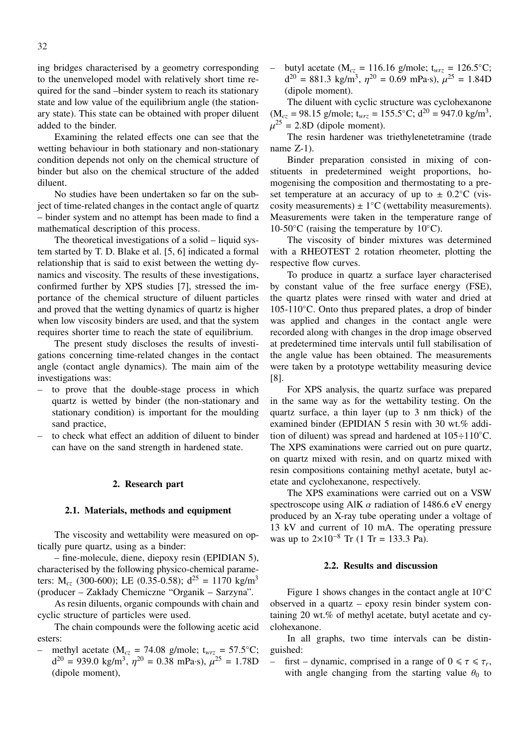ing bridges characterised by a geometry corresponding to the unenveloped model with relatively short time required for the sand –binder system to reach its stationary state and low value of the equilibrium angle (the stationary state). This state can be obtained with proper diluent added to the binder.

Examining the related effects one can see that the wetting behaviour in both stationary and non-stationary condition depends not only on the chemical structure of binder but also on the chemical structure of the added diluent.

No studies have been undertaken so far on the subject of time-related changes in the contact angle of quartz – binder system and no attempt has been made to find a mathematical description of this process.

The theoretical investigations of a solid – liquid system started by T. D. Blake et al. [5, 6] indicated a formal relationship that is said to exist between the wetting dynamics and viscosity. The results of these investigations, confirmed further by XPS studies [7], stressed the importance of the chemical structure of diluent particles and proved that the wetting dynamics of quartz is higher when low viscosity binders are used, and that the system requires shorter time to reach the state of equilibrium.

The present study discloses the results of investigations concerning time-related changes in the contact angle (contact angle dynamics). The main aim of the investigations was:

- to prove that the double-stage process in which quartz is wetted by binder (the non-stationary and stationary condition) is important for the moulding sand practice,
- to check what effect an addition of diluent to binder can have on the sand strength in hardened state.

# **2. Research part**

# **2.1. Materials, methods and equipment**

The viscosity and wettability were measured on optically pure quartz, using as a binder:

– fine-molecule, diene, diepoxy resin (EPIDIAN 5), characterised by the following physico-chemical parameters:  $M_{cz}$  (300-600); LE (0.35-0.58);  $d^{25} = 1170$  kg/m<sup>3</sup> (producer – Zakłady Chemiczne "Organik – Sarzyna".

As resin diluents, organic compounds with chain and cyclic structure of particles were used.

The chain compounds were the following acetic acid esters:

methyl acetate ( $M_{cz}$  = 74.08 g/mole;  $t_{wrz}$  = 57.5°C;  $d^{20} = 939.0 \text{ kg/m}^3$ ,  $\eta^{20} = 0.38 \text{ mPa} \cdot \text{s}$ ),  $\mu^{25} = 1.78 \text{D}$ (dipole moment),

butyl acetate ( $M_{cz} = 116.16$  g/mole;  $t_{wrz} = 126.5$ °C;  $d^{20} = 881.3$  kg/m<sup>3</sup>,  $\eta^{20} = 0.69$  mPa·s),  $\mu^{25} = 1.84$ D (dipole moment).

The diluent with cyclic structure was cyclohexanone  $(M_{cz} = 98.15 \text{ g/mole}; t_{wrz} = 155.5^{\circ} \text{C}; d^{20} = 947.0 \text{ kg/m}^3,$  $\mu^{25}$  = 2.8D (dipole moment).

The resin hardener was triethylenetetramine (trade name Z-1).

Binder preparation consisted in mixing of constituents in predetermined weight proportions, homogenising the composition and thermostating to a preset temperature at an accuracy of up to  $\pm$  0.2°C (viscosity measurements)  $\pm 1^{\circ}$ C (wettability measurements). Measurements were taken in the temperature range of 10-50 $°C$  (raising the temperature by 10 $°C$ ).

The viscosity of binder mixtures was determined with a RHEOTEST 2 rotation rheometer, plotting the respective flow curves.

To produce in quartz a surface layer characterised by constant value of the free surface energy (FSE), the quartz plates were rinsed with water and dried at 105-110◦C. Onto thus prepared plates, a drop of binder was applied and changes in the contact angle were recorded along with changes in the drop image observed at predetermined time intervals until full stabilisation of the angle value has been obtained. The measurements were taken by a prototype wettability measuring device [8].

For XPS analysis, the quartz surface was prepared in the same way as for the wettability testing. On the quartz surface, a thin layer (up to 3 nm thick) of the examined binder (EPIDIAN 5 resin with 30 wt.% addition of diluent) was spread and hardened at  $105 \div 110^{\circ}$ C. The XPS examinations were carried out on pure quartz, on quartz mixed with resin, and on quartz mixed with resin compositions containing methyl acetate, butyl acetate and cyclohexanone, respectively.

The XPS examinations were carried out on a VSW spectroscope using AlK  $\alpha$  radiation of 1486.6 eV energy produced by an X-ray tube operating under a voltage of 13 kV and current of 10 mA. The operating pressure was up to  $2 \times 10^{-8}$  Tr (1 Tr = 133.3 Pa).

#### **2.2. Results and discussion**

Figure 1 shows changes in the contact angle at 10◦C observed in a quartz – epoxy resin binder system containing 20 wt.% of methyl acetate, butyl acetate and cyclohexanone.

In all graphs, two time intervals can be distinguished:

– first – dynamic, comprised in a range of  $0 \le \tau \le \tau_r$ , with angle changing from the starting value  $\theta_0$  to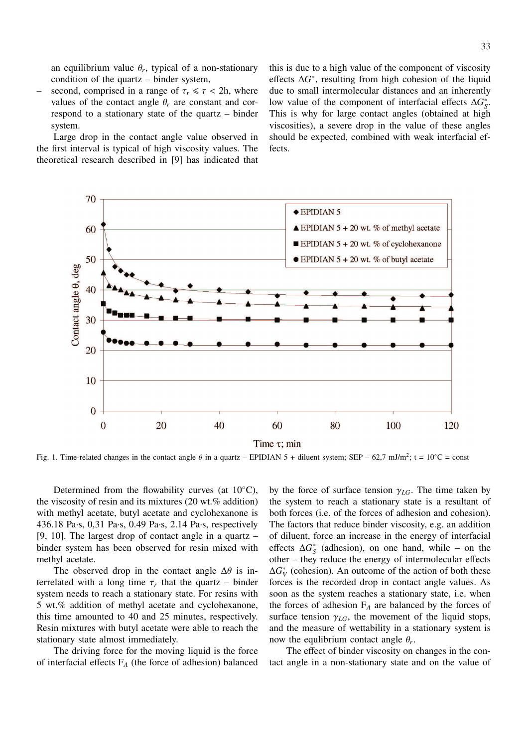an equilibrium value  $\theta_r$ , typical of a non-stationary condition of the quartz – binder system,

second, comprised in a range of  $\tau_r \leq \tau$  < 2h, where values of the contact angle  $\theta_r$  are constant and correspond to a stationary state of the quartz – binder system.

Large drop in the contact angle value observed in the first interval is typical of high viscosity values. The theoretical research described in [9] has indicated that this is due to a high value of the component of viscosity effects  $\Delta G^*$ , resulting from high cohesion of the liquid due to small intermolecular distances and an inherently low value of the component of interfacial effects  $\Delta G_S^*$ . This is why for large contact angles (obtained at high viscosities), a severe drop in the value of these angles should be expected, combined with weak interfacial effects.



Fig. 1. Time-related changes in the contact angle  $\theta$  in a quartz – EPIDIAN 5 + diluent system; SEP – 62,7 mJ/m<sup>2</sup>; t = 10<sup>°</sup>C = const

Determined from the flowability curves (at 10◦C), the viscosity of resin and its mixtures (20 wt.% addition) with methyl acetate, butyl acetate and cyclohexanone is 436.18 Pa·s, 0,31 Pa·s, 0.49 Pa·s, 2.14 Pa·s, respectively [9, 10]. The largest drop of contact angle in a quartz – binder system has been observed for resin mixed with methyl acetate.

The observed drop in the contact angle  $\Delta\theta$  is interrelated with a long time  $\tau_r$  that the quartz – binder system needs to reach a stationary state. For resins with 5 wt.% addition of methyl acetate and cyclohexanone, this time amounted to 40 and 25 minutes, respectively. Resin mixtures with butyl acetate were able to reach the stationary state almost immediately.

The driving force for the moving liquid is the force of interfacial effects F*<sup>A</sup>* (the force of adhesion) balanced by the force of surface tension  $\gamma_{LG}$ . The time taken by the system to reach a stationary state is a resultant of both forces (i.e. of the forces of adhesion and cohesion). The factors that reduce binder viscosity, e.g. an addition of diluent, force an increase in the energy of interfacial effects  $\Delta G_S^*$  (adhesion), on one hand, while – on the other – they reduce the energy of intermolecular effects  $\Delta G_V^*$  (cohesion). An outcome of the action of both these forces is the recorded drop in contact angle values. As soon as the system reaches a stationary state, i.e. when the forces of adhesion F*<sup>A</sup>* are balanced by the forces of surface tension  $\gamma_{LG}$ , the movement of the liquid stops, and the measure of wettability in a stationary system is now the equilibrium contact angle  $\theta_r$ .

The effect of binder viscosity on changes in the contact angle in a non-stationary state and on the value of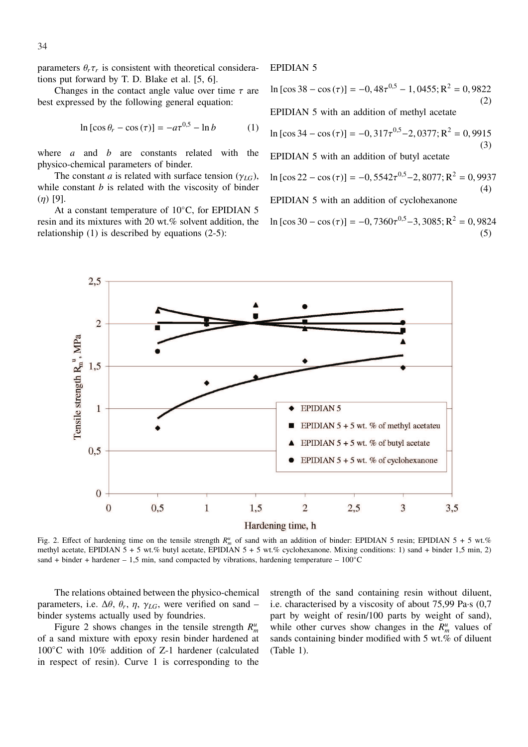parameters  $\theta_r \tau_r$  is consistent with theoretical considerations put forward by T. D. Blake et al. [5, 6].

Changes in the contact angle value over time  $\tau$  are best expressed by the following general equation:

$$
\ln\left[\cos\theta_r - \cos\left(\tau\right)\right] = -a\tau^{0.5} - \ln b \tag{1}
$$

where *a* and *b* are constants related with the physico-chemical parameters of binder.

The constant *a* is related with surface tension ( $\gamma_{LG}$ ), while constant *b* is related with the viscosity of binder  $(n)$  [9].

At a constant temperature of 10◦C, for EPIDIAN 5 resin and its mixtures with 20 wt.% solvent addition, the relationship (1) is described by equations (2-5):

# EPIDIAN 5

ln [cos 38 − cos(τ)] = −0, 48τ <sup>0</sup>,<sup>5</sup> − 1, 0455;R<sup>2</sup> = 0, 9822 (2) EPIDIAN 5 with an addition of methyl acetate

$$
\ln\left[\cos 34 - \cos\left(\tau\right)\right] = -0,317\tau^{0.5} - 2,0377; \mathbf{R}^2 = 0,9915
$$
\n(3)

EPIDIAN 5 with an addition of butyl acetate

ln [cos22 − cos(τ)] = −0, 5542τ <sup>0</sup>,<sup>5</sup>−2, 8077;R<sup>2</sup> = 0, 9937 (4) EPIDIAN 5 with an addition of cyclohexanone

ln  $[\cos 30 - \cos (\tau)] = -0,7360\tau^{0.5} -3,3085; R^2 = 0,9824$ (5)



Fig. 2. Effect of hardening time on the tensile strength  $R_m^u$  of sand with an addition of binder: EPIDIAN 5 resin; EPIDIAN 5 + 5 wt.% methyl acetate, EPIDIAN  $5 + 5$  wt.% butyl acetate, EPIDIAN  $5 + 5$  wt.% cyclohexanone. Mixing conditions: 1) sand + binder 1.5 min, 2) sand + binder + hardener – 1,5 min, sand compacted by vibrations, hardening temperature –  $100^{\circ}$ C

The relations obtained between the physico-chemical parameters, i.e.  $\Delta\theta$ ,  $\theta_r$ ,  $\eta$ ,  $\gamma_{LG}$ , were verified on sand – binder systems actually used by foundries.

Figure 2 shows changes in the tensile strength  $R_m^u$ of a sand mixture with epoxy resin binder hardened at 100◦C with 10% addition of Z-1 hardener (calculated in respect of resin). Curve 1 is corresponding to the

strength of the sand containing resin without diluent, i.e. characterised by a viscosity of about 75,99 Pa·s (0,7 part by weight of resin/100 parts by weight of sand), while other curves show changes in the  $R_m^u$  values of sands containing binder modified with 5 wt.% of diluent (Table 1).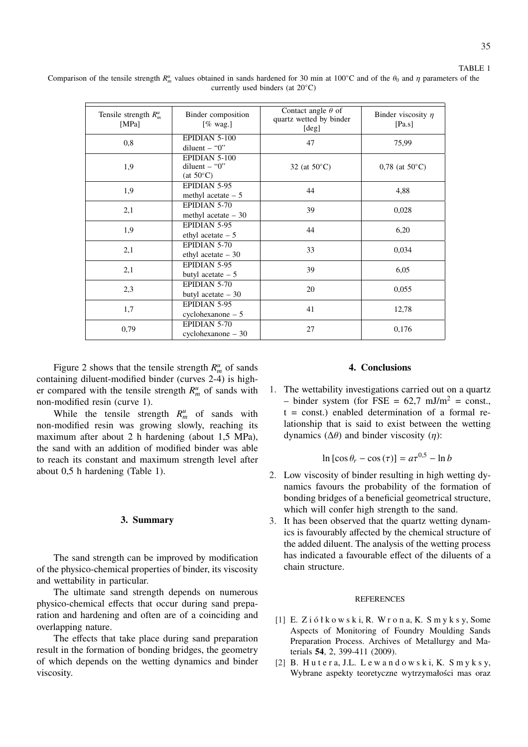| Tensile strength $R_m^u$<br>[MPa] | Binder composition<br>[ $%$ wag.]                      | Contact angle $\theta$ of<br>quartz wetted by binder<br>[deg] | Binder viscosity $\eta$<br>[Pa.s] |
|-----------------------------------|--------------------------------------------------------|---------------------------------------------------------------|-----------------------------------|
| 0,8                               | EPIDIAN 5-100<br>diluent $-$ "0"                       | 47                                                            | 75,99                             |
| 1,9                               | EPIDIAN 5-100<br>diluent $-$ "0"<br>$(at 50^{\circ}C)$ | 32 (at $50^{\circ}$ C)                                        | $0.78$ (at 50 $^{\circ}$ C)       |
| 1,9                               | EPIDIAN 5-95<br>methyl acetate $-5$                    | 44                                                            | 4,88                              |
| 2,1                               | EPIDIAN 5-70<br>methyl acetate $-30$                   | 39                                                            | 0,028                             |
| 1,9                               | EPIDIAN 5-95<br>ethyl acetate $-5$                     | 44                                                            | 6,20                              |
| 2,1                               | EPIDIAN 5-70<br>ethyl acetate $-30$                    | 33                                                            | 0,034                             |
| 2,1                               | EPIDIAN 5-95<br>butyl acetate $-5$                     | 39                                                            | 6,05                              |
| 2,3                               | EPIDIAN 5-70<br>butyl acetate $-30$                    | 20                                                            | 0,055                             |
| 1,7                               | EPIDIAN 5-95<br>$cyclohexanone - 5$                    | 41                                                            | 12,78                             |
| 0,79                              | EPIDIAN 5-70<br>cyclohexanone - 30                     | 27                                                            | 0,176                             |

Comparison of the tensile strength  $R_m^u$  values obtained in sands hardened for 30 min at 100°C and of the  $\theta_0$  and  $\eta$  parameters of the currently used binders (at 20◦C)

Figure 2 shows that the tensile strength  $R_m^u$  of sands containing diluent-modified binder (curves 2-4) is higher compared with the tensile strength  $R_m^u$  of sands with non-modified resin (curve 1).

While the tensile strength  $R_m^u$  of sands with non-modified resin was growing slowly, reaching its maximum after about 2 h hardening (about 1,5 MPa), the sand with an addition of modified binder was able to reach its constant and maximum strength level after about 0,5 h hardening (Table 1).

#### **3. Summary**

The sand strength can be improved by modification of the physico-chemical properties of binder, its viscosity and wettability in particular.

The ultimate sand strength depends on numerous physico-chemical effects that occur during sand preparation and hardening and often are of a coinciding and overlapping nature.

The effects that take place during sand preparation result in the formation of bonding bridges, the geometry of which depends on the wetting dynamics and binder viscosity.

### **4. Conclusions**

1. The wettability investigations carried out on a quartz – binder system (for FSE =  $62.7$  mJ/m<sup>2</sup> = const.,  $t = const.$ ) enabled determination of a formal relationship that is said to exist between the wetting dynamics (∆θ) and binder viscosity (η):

$$
\ln\left[\cos\theta_r - \cos\left(\tau\right)\right] = a\tau^{0.5} - \ln b
$$

- 2. Low viscosity of binder resulting in high wetting dynamics favours the probability of the formation of bonding bridges of a beneficial geometrical structure, which will confer high strength to the sand.
- 3. It has been observed that the quartz wetting dynamics is favourably affected by the chemical structure of the added diluent. The analysis of the wetting process has indicated a favourable effect of the diluents of a chain structure.

### **REFERENCES**

- [1] E. Z i ó ł k o w s k i, R. W r o n a, K. S m y k s y, Some Aspects of Monitoring of Foundry Moulding Sands Preparation Process. Archives of Metallurgy and Materials **54**, 2, 399-411 (2009).
- [2] B. Hutera, J.L. Lewandowski, K. Smyksy, Wybrane aspekty teoretyczne wytrzymałości mas oraz